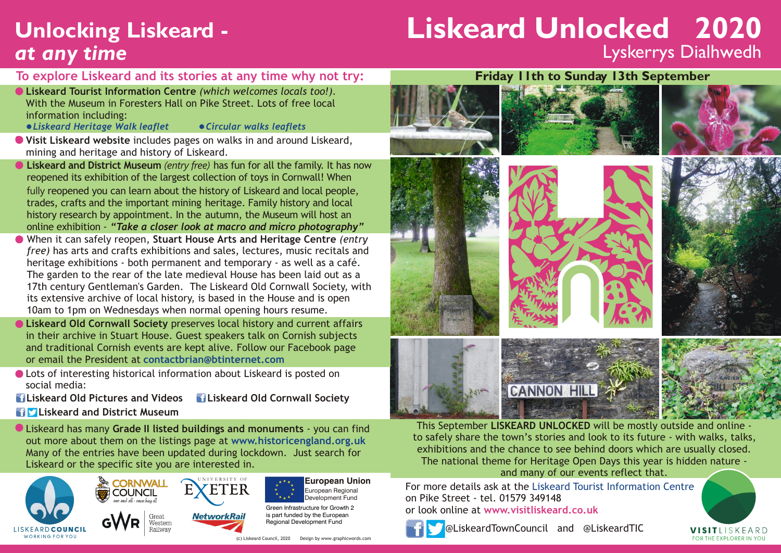## **Unlocking Liskeard**  *at**any time*

# **Liskeard Unlocked 2020** Lyskerrys Dialhwedh

#### **To explore Liskeard and its stories at any time why not try:**

- **Liskeard Tourist Information Centre** *(which welcomes locals too!).* With the Museum in Foresters Hall on Pike Street. Lots of free local information including:
	- *Liskeard Heritage Walk leaflet Circular walks leaflets*
- 
- **Visit Liskeard website** includes pages on walks in and around Liskeard, mining and heritage and history of Liskeard.
- **Liskeard and District Museum** *(entry free)* has fun for all the family. It has now reopened its exhibition of the largest collection of toys in Cornwall! When fully reopened you can learn about the history of Liskeard and local people, trades, crafts and the important mining heritage. Family history and local history research by appointment. In the autumn, the Museum will host an online exhibition - *"Take a closer look at macro and micro photography"*
- When it can safely reopen, **Stuart House Arts and Heritage Centre** *(entry free)* has arts and crafts exhibitions and sales, lectures, music recitals and heritage exhibitions - both permanent and temporary - as well as a café. The garden to the rear of the late medieval House has been laid out as a 17th century Gentleman's Garden. The Liskeard Old Cornwall Society, with its extensive archive of local history, is based in the House and is open 10am to 1pm on Wednesdays when normal opening hours resume.
- **Liskeard Old Cornwall Society** preserves local history and current affairs in their archive in Stuart House. Guest speakers talk on Cornish subjects and traditional Cornish events are kept alive. Follow our Facebook page or email the President at **contactbrian@btinternet.com**
- Lots of interesting historical information about Liskeard is posted on social media:
- **Liskeard Old Pictures and Videos Liskeard Old Cornwall Society**
- **Liskeard and District Museum**

Liskeard has many **Grade II listed buildings and monuments** - you can find out more about them on the listings page at **www.historicengland.org.uk** Many of the entries have been updated during lockdown. Just search for Liskeard or the specific site you are interested in.





European Regional Development Fund

Green Infrastructure for Growth 2 is part funded by the European Regional Development Fund

(c) Liskeard Council, 2020 Design by www.graphicwords.com



















This September **LISKEARD UNLOCKED** will be mostly outside and online to safely share the town's stories and look to its future - with walks, talks, exhibitions and the chance to see behind doors which are usually closed. The national theme for Heritage Open Days this year is hidden nature and many of our events reflect that.

For more details ask at the Liskeard Tourist Information Centre on Pike Street - tel. 01579 349148 or look online at **www.visitliskeard.co.uk**



@LiskeardTownCouncil and @LiskeardTIC